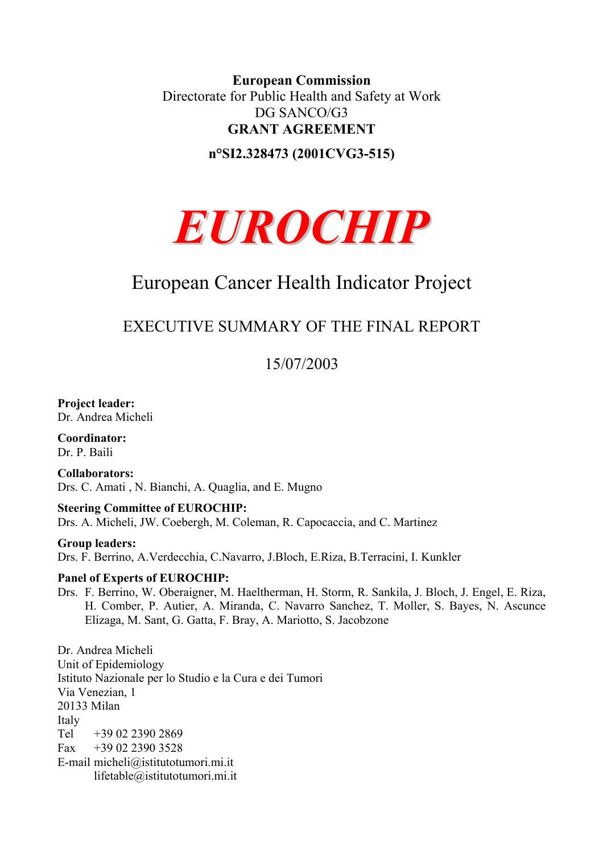### **European Commission**  Directorate for Public Health and Safety at Work DG SANCO/G3 **GRANT AGREEMENT**

**n°SI2.328473 (2001CVG3-515)** 



# European Cancer Health Indicator Project

## EXECUTIVE SUMMARY OF THE FINAL REPORT

15/07/2003

**Project leader:**  Dr. Andrea Micheli

**Coordinator:**  Dr. P. Baili

**Collaborators:**  Drs. C. Amati , N. Bianchi, A. Quaglia, and E. Mugno

#### **Steering Committee of EUROCHIP:**

Drs. A. Micheli, JW. Coebergh, M. Coleman, R. Capocaccia, and C. Martinez

#### **Group leaders:**

Drs. F. Berrino, A.Verdecchia, C.Navarro, J.Bloch, E.Riza, B.Terracini, I. Kunkler

#### **Panel of Experts of EUROCHIP:**

Drs. F. Berrino, W. Oberaigner, M. Haeltherman, H. Storm, R. Sankila, J. Bloch, J. Engel, E. Riza, H. Comber, P. Autier, A. Miranda, C. Navarro Sanchez, T. Moller, S. Bayes, N. Ascunce Elizaga, M. Sant, G. Gatta, F. Bray, A. Mariotto, S. Jacobzone

Dr. Andrea Micheli Unit of Epidemiology Istituto Nazionale per lo Studio e la Cura e dei Tumori Via Venezian, 1 20133 Milan Italy Tel +39 02 2390 2869 Fax  $+390223903528$ E-mail [micheli@istitutotumori.mi.it](mailto:micheli@istitutotumori.mi.it) lifetable@istitutotumori.mi.it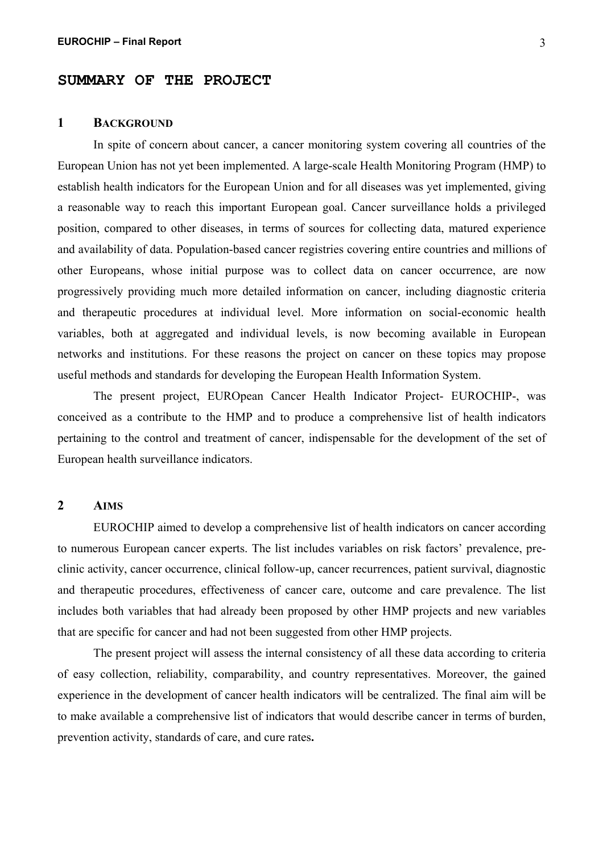#### **SUMMARY OF THE PROJECT**

#### **1 BACKGROUND**

In spite of concern about cancer, a cancer monitoring system covering all countries of the European Union has not yet been implemented. A large-scale Health Monitoring Program (HMP) to establish health indicators for the European Union and for all diseases was yet implemented, giving a reasonable way to reach this important European goal. Cancer surveillance holds a privileged position, compared to other diseases, in terms of sources for collecting data, matured experience and availability of data. Population-based cancer registries covering entire countries and millions of other Europeans, whose initial purpose was to collect data on cancer occurrence, are now progressively providing much more detailed information on cancer, including diagnostic criteria and therapeutic procedures at individual level. More information on social-economic health variables, both at aggregated and individual levels, is now becoming available in European networks and institutions. For these reasons the project on cancer on these topics may propose useful methods and standards for developing the European Health Information System.

The present project, EUROpean Cancer Health Indicator Project- EUROCHIP-, was conceived as a contribute to the HMP and to produce a comprehensive list of health indicators pertaining to the control and treatment of cancer, indispensable for the development of the set of European health surveillance indicators.

#### **2 AIMS**

EUROCHIP aimed to develop a comprehensive list of health indicators on cancer according to numerous European cancer experts. The list includes variables on risk factors' prevalence, preclinic activity, cancer occurrence, clinical follow-up, cancer recurrences, patient survival, diagnostic and therapeutic procedures, effectiveness of cancer care, outcome and care prevalence. The list includes both variables that had already been proposed by other HMP projects and new variables that are specific for cancer and had not been suggested from other HMP projects.

The present project will assess the internal consistency of all these data according to criteria of easy collection, reliability, comparability, and country representatives. Moreover, the gained experience in the development of cancer health indicators will be centralized. The final aim will be to make available a comprehensive list of indicators that would describe cancer in terms of burden, prevention activity, standards of care, and cure rates**.**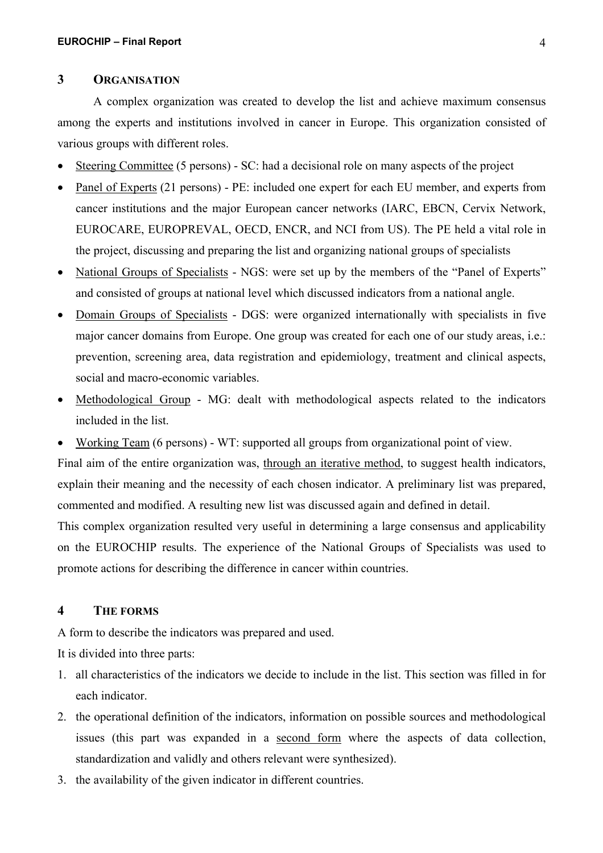#### **3 ORGANISATION**

A complex organization was created to develop the list and achieve maximum consensus among the experts and institutions involved in cancer in Europe. This organization consisted of various groups with different roles.

- Steering Committee (5 persons) SC: had a decisional role on many aspects of the project
- Panel of Experts (21 persons) PE: included one expert for each EU member, and experts from cancer institutions and the major European cancer networks (IARC, EBCN, Cervix Network, EUROCARE, EUROPREVAL, OECD, ENCR, and NCI from US). The PE held a vital role in the project, discussing and preparing the list and organizing national groups of specialists
- National Groups of Specialists NGS: were set up by the members of the "Panel of Experts" and consisted of groups at national level which discussed indicators from a national angle.
- Domain Groups of Specialists DGS: were organized internationally with specialists in five major cancer domains from Europe. One group was created for each one of our study areas, i.e.: prevention, screening area, data registration and epidemiology, treatment and clinical aspects, social and macro-economic variables.
- Methodological Group MG: dealt with methodological aspects related to the indicators included in the list.

• Working Team (6 persons) - WT: supported all groups from organizational point of view. Final aim of the entire organization was, through an iterative method, to suggest health indicators, explain their meaning and the necessity of each chosen indicator. A preliminary list was prepared, commented and modified. A resulting new list was discussed again and defined in detail. This complex organization resulted very useful in determining a large consensus and applicability

on the EUROCHIP results. The experience of the National Groups of Specialists was used to promote actions for describing the difference in cancer within countries.

#### **4 THE FORMS**

A form to describe the indicators was prepared and used.

It is divided into three parts:

- 1. all characteristics of the indicators we decide to include in the list. This section was filled in for each indicator.
- 2. the operational definition of the indicators, information on possible sources and methodological issues (this part was expanded in a second form where the aspects of data collection, standardization and validly and others relevant were synthesized).
- 3. the availability of the given indicator in different countries.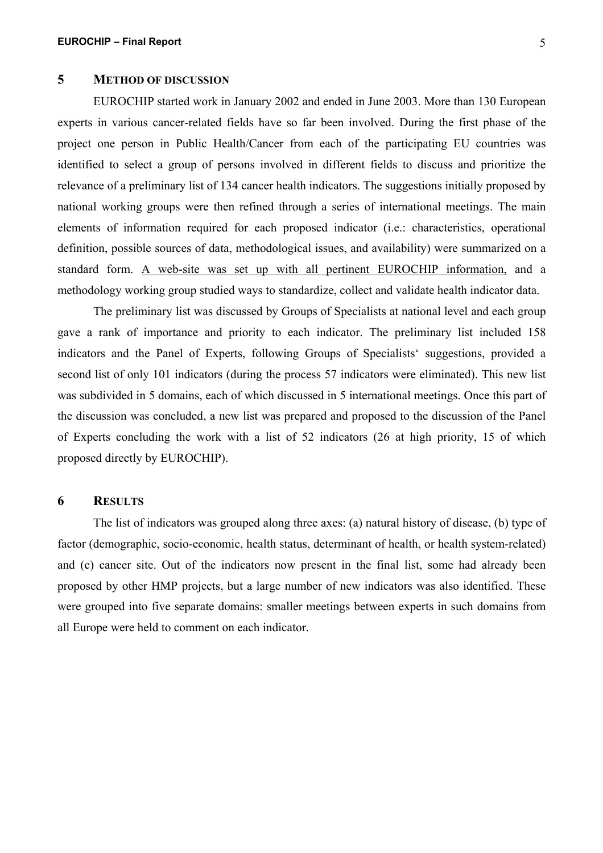#### **5 METHOD OF DISCUSSION**

EUROCHIP started work in January 2002 and ended in June 2003. More than 130 European experts in various cancer-related fields have so far been involved. During the first phase of the project one person in Public Health/Cancer from each of the participating EU countries was identified to select a group of persons involved in different fields to discuss and prioritize the relevance of a preliminary list of 134 cancer health indicators. The suggestions initially proposed by national working groups were then refined through a series of international meetings. The main elements of information required for each proposed indicator (i.e.: characteristics, operational definition, possible sources of data, methodological issues, and availability) were summarized on a standard form. A web-site was set up with all pertinent EUROCHIP information, and a methodology working group studied ways to standardize, collect and validate health indicator data.

The preliminary list was discussed by Groups of Specialists at national level and each group gave a rank of importance and priority to each indicator. The preliminary list included 158 indicators and the Panel of Experts, following Groups of Specialists' suggestions, provided a second list of only 101 indicators (during the process 57 indicators were eliminated). This new list was subdivided in 5 domains, each of which discussed in 5 international meetings. Once this part of the discussion was concluded, a new list was prepared and proposed to the discussion of the Panel of Experts concluding the work with a list of 52 indicators (26 at high priority, 15 of which proposed directly by EUROCHIP).

#### **6 RESULTS**

The list of indicators was grouped along three axes: (a) natural history of disease, (b) type of factor (demographic, socio-economic, health status, determinant of health, or health system-related) and (c) cancer site. Out of the indicators now present in the final list, some had already been proposed by other HMP projects, but a large number of new indicators was also identified. These were grouped into five separate domains: smaller meetings between experts in such domains from all Europe were held to comment on each indicator.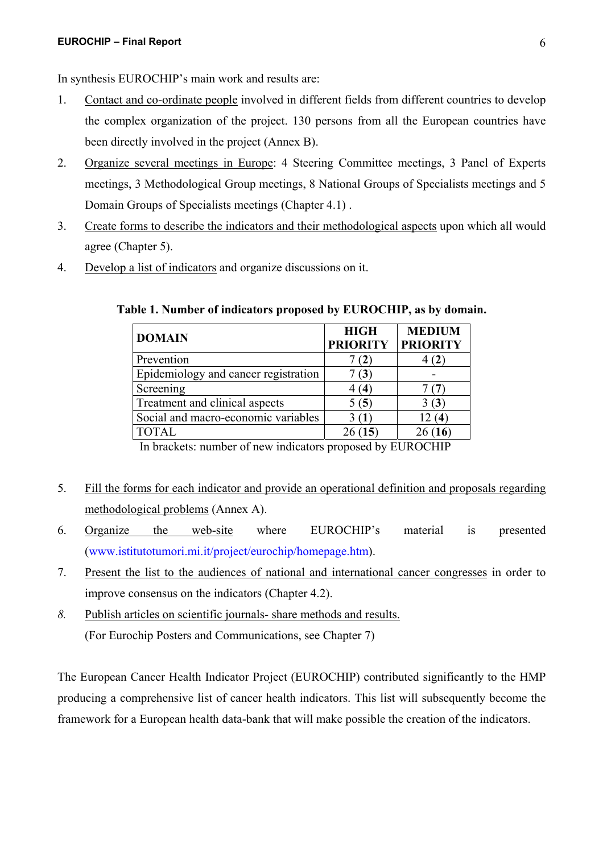- 1. Contact and co-ordinate people involved in different fields from different countries to develop the complex organization of the project. 130 persons from all the European countries have been directly involved in the project (Annex B).
- 2. Organize several meetings in Europe: 4 Steering Committee meetings, 3 Panel of Experts meetings, 3 Methodological Group meetings, 8 National Groups of Specialists meetings and 5 Domain Groups of Specialists meetings (Chapter 4.1) .
- 3. Create forms to describe the indicators and their methodological aspects upon which all would agree (Chapter 5).
- 4. Develop a list of indicators and organize discussions on it.

| <b>DOMAIN</b>                        | <b>HIGH</b><br><b>PRIORITY</b> | <b>MEDIUM</b><br><b>PRIORITY</b> |
|--------------------------------------|--------------------------------|----------------------------------|
| Prevention                           |                                | 4 (Z                             |
| Epidemiology and cancer registration |                                |                                  |
| Screening                            | (4                             |                                  |
| Treatment and clinical aspects       | 5 (5)                          | $\mathfrak{g}$                   |
| Social and macro-economic variables  |                                | 14                               |
| <b>TOTAL</b>                         | 26(15)                         | 26(16)                           |

**Table 1. Number of indicators proposed by EUROCHIP, as by domain.** 

In brackets: number of new indicators proposed by EUROCHIP

- 5. Fill the forms for each indicator and provide an operational definition and proposals regarding methodological problems (Annex A).
- 6. Organize the web-site where EUROCHIP's material is presented (www.istitutotumori.mi.it/project/eurochip/homepage.htm).
- 7. Present the list to the audiences of national and international cancer congresses in order to improve consensus on the indicators (Chapter 4.2).
- *8.* Publish articles on scientific journals- share methods and results. (For Eurochip Posters and Communications, see Chapter 7)

The European Cancer Health Indicator Project (EUROCHIP) contributed significantly to the HMP producing a comprehensive list of cancer health indicators. This list will subsequently become the framework for a European health data-bank that will make possible the creation of the indicators.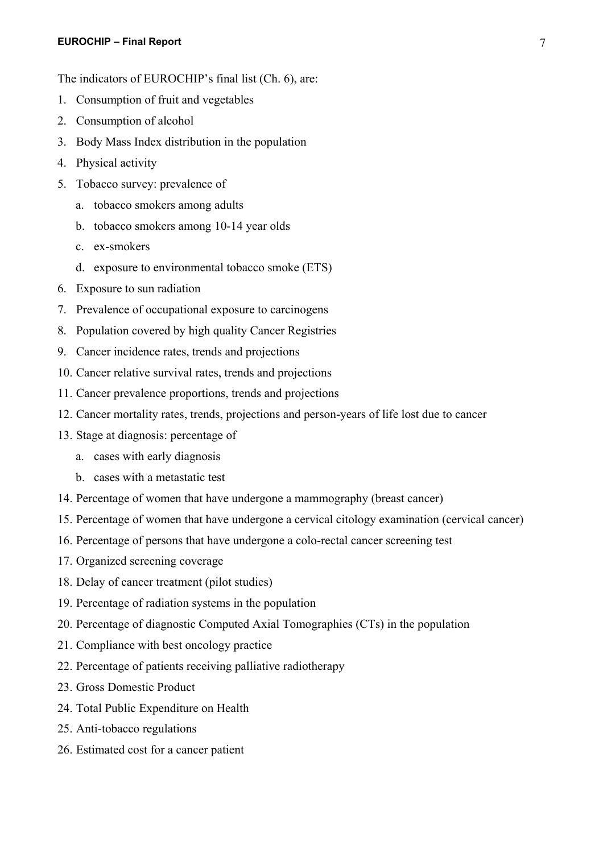#### **EUROCHIP – Final Report** 7

The indicators of EUROCHIP's final list (Ch. 6), are:

- 1. Consumption of fruit and vegetables
- 2. Consumption of alcohol
- 3. Body Mass Index distribution in the population
- 4. Physical activity
- 5. Tobacco survey: prevalence of
	- a. tobacco smokers among adults
	- b. tobacco smokers among 10-14 year olds
	- c. ex-smokers
	- d. exposure to environmental tobacco smoke (ETS)
- 6. Exposure to sun radiation
- 7. Prevalence of occupational exposure to carcinogens
- 8. Population covered by high quality Cancer Registries
- 9. Cancer incidence rates, trends and projections
- 10. Cancer relative survival rates, trends and projections
- 11. Cancer prevalence proportions, trends and projections
- 12. Cancer mortality rates, trends, projections and person-years of life lost due to cancer
- 13. Stage at diagnosis: percentage of
	- a. cases with early diagnosis
	- b. cases with a metastatic test
- 14. Percentage of women that have undergone a mammography (breast cancer)
- 15. Percentage of women that have undergone a cervical citology examination (cervical cancer)
- 16. Percentage of persons that have undergone a colo-rectal cancer screening test
- 17. Organized screening coverage
- 18. Delay of cancer treatment (pilot studies)
- 19. Percentage of radiation systems in the population
- 20. Percentage of diagnostic Computed Axial Tomographies (CTs) in the population
- 21. Compliance with best oncology practice
- 22. Percentage of patients receiving palliative radiotherapy
- 23. Gross Domestic Product
- 24. Total Public Expenditure on Health
- 25. Anti-tobacco regulations
- 26. Estimated cost for a cancer patient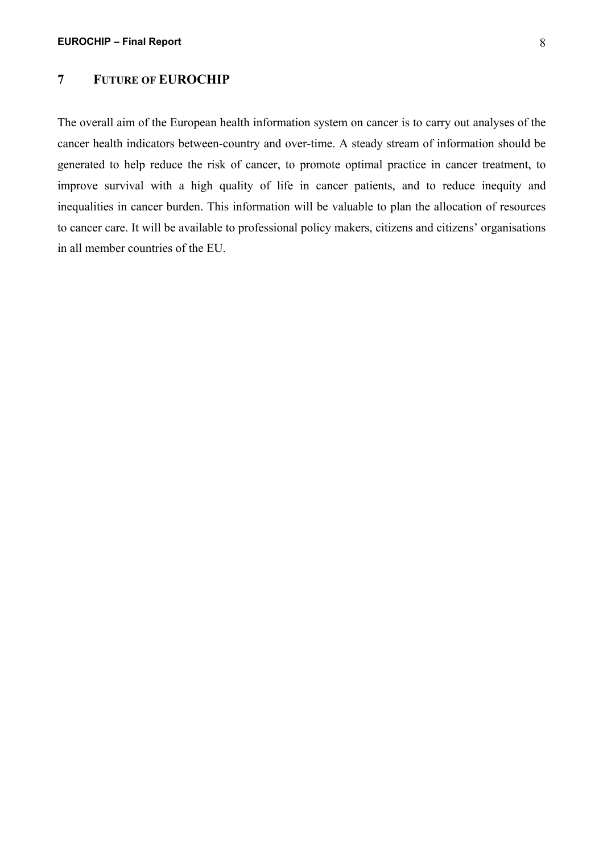#### **7 FUTURE OF EUROCHIP**

The overall aim of the European health information system on cancer is to carry out analyses of the cancer health indicators between-country and over-time. A steady stream of information should be generated to help reduce the risk of cancer, to promote optimal practice in cancer treatment, to improve survival with a high quality of life in cancer patients, and to reduce inequity and inequalities in cancer burden. This information will be valuable to plan the allocation of resources to cancer care. It will be available to professional policy makers, citizens and citizens' organisations in all member countries of the EU.